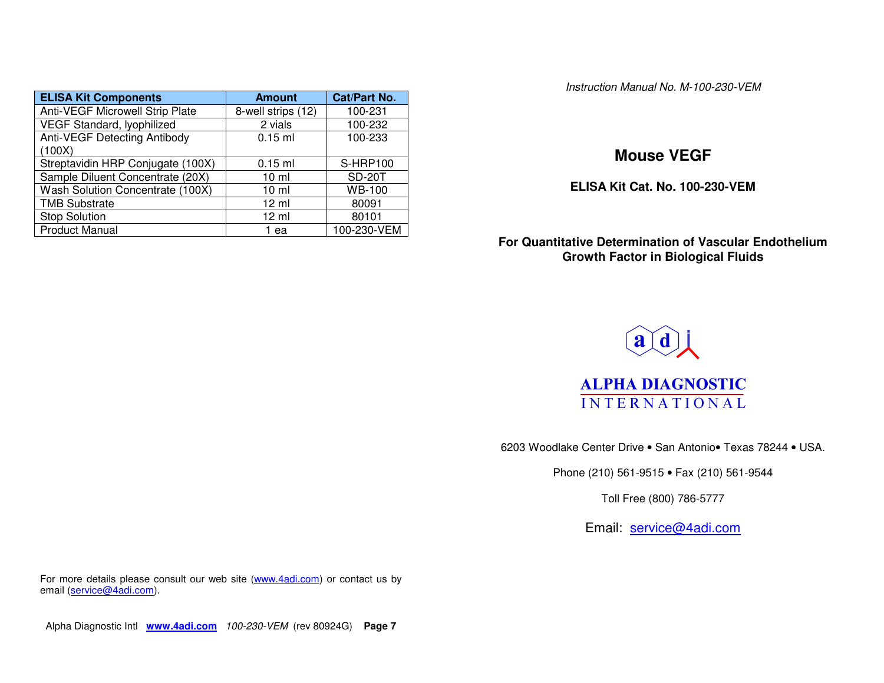| <b>ELISA Kit Components</b>         | <b>Amount</b>      | <b>Cat/Part No.</b> |
|-------------------------------------|--------------------|---------------------|
| Anti-VEGF Microwell Strip Plate     | 8-well strips (12) | 100-231             |
| VEGF Standard, lyophilized          | 2 vials            | 100-232             |
| <b>Anti-VEGF Detecting Antibody</b> | $0.15$ ml          | 100-233             |
| (100X)                              |                    |                     |
| Streptavidin HRP Conjugate (100X)   | $0.15$ ml          | <b>S-HRP100</b>     |
| Sample Diluent Concentrate (20X)    | 10 <sub>m</sub>    | <b>SD-20T</b>       |
| Wash Solution Concentrate (100X)    | 10 <sub>m</sub>    | WB-100              |
| <b>TMB Substrate</b>                | $12 \text{ ml}$    | 80091               |
| <b>Stop Solution</b>                | $12 \mathrm{ml}$   | 80101               |
| <b>Product Manual</b>               | 1 ea               | 100-230-VEM         |

*Instruction Manual No. M-100-230-VEM*

# **Mouse VEGF**

**ELISA Kit Cat. No. 100-230-VEM**

# **For Quantitative Determination of Vascular EndotheliumGrowth Factor in Biological Fluids**



6203 Woodlake Center Drive • San Antonio• Texas 78244 • USA.

Phone (210) 561-9515 • Fax (210) 561-9544

Toll Free (800) 786-5777

Email: <u>service@4adi.com</u>

For more details please consult our web site (<u>www.4adi.com</u>) or contact us by email (<u>service@4adi.com</u>).

Alpha Diagnostic Intl **www.4adi.com** *100-230-VEM* (rev 80924G) **Page 7**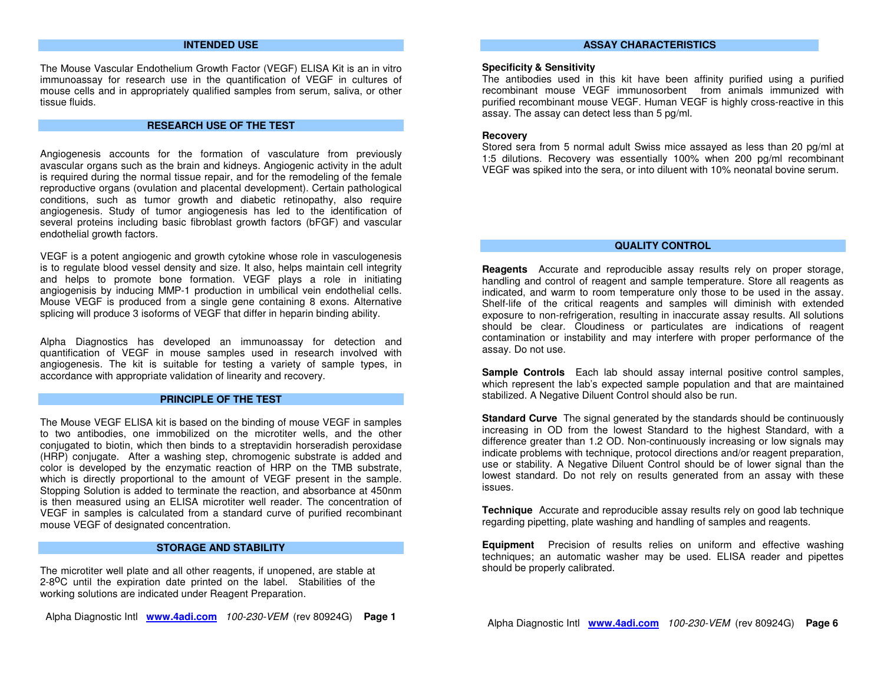## **INTENDEDUSE**

The Mouse Vascular Endothelium Growth Factor (V E GF) ELIS A Kit is an in vitro immunoassay for research use in the quantification of V EGF in cultures of mouse cells and in appropriately qualified samples from serum, saliva, or other tissue fluids.

#### **RESEARCHUSEOFTHETEST**

Angiogenesis accounts for the formation of vasculature from previously avascular organs such as the brain and kidneys. Angiogenic activity in the adult is required during the normal tissue repair, and for the remodeling of the female reproductive organs (ovulation and placental development). Certain pathological conditions, such as tumor growth and diabetic retinopathy, also require angiogenesis. Study of tumor angiogenesis has led to the identification of several proteins including basic fibroblast growth factors (bFGF) and vascular endothelial growth factors.

V E GF is <sup>a</sup> potent angiogenic and growth cytokine whose role in vasculogenesis is to regulate blood vessel density and size. It also, helps maintain cell integrity and helps to promote bone formation. V EGF plays <sup>a</sup> role in initiating angiogenisis by inducing M MP-1 production in umbilical vein endothelial cells. Mouse VEGF is produced from <sup>a</sup> single gene containing 8 exons. Alternative splicing will produce 3 isoforms of V E GF that differ in heparin binding ability.

Alpha Diagnostics has developed an im munoassay for detection and quantification of V E GF in mouse samples used in research involved with angiogenesis. The kit is suitable for testing <sup>a</sup> variety of sample types, in accordance with appropriate validation of linearity and recovery.

### **PRINCIPLEOFTHETEST**

The Mouse VEGF ELISA kit is based on the binding of mouse V EGF in samples to two antibodies, one im mobilized on the microtiter wells, and the other conjugated to biotin, which then binds to <sup>a</sup> streptavidin horseradish peroxidase (H RP) conjugate. After <sup>a</sup> washing step, chromogenic substrate is added and color is developed by the enzymatic reaction of H R P on the T M B substrate, which is directly proportional to the amount of V EGF present in the sample. Stopping Solution is added to terminate the reaction, and absorbance at 450nm is then measured using an ELIS Amicrotiter well reader. The concentration of VEGF in samples is calculated from <sup>a</sup> standard curve of purified recombinant mouse V E GF of designated concentration.

#### **STORAGEANDSTABILITY**

The microtiter well plate and all other reagents, if unopened, are stable at 2-8<sup>0</sup>C until the expiration date printed on the label. Stabilities of the working solutions are indicated under Reagent Preparation.

Alpha Diagnostic Intl **<sup>w</sup> w w.4adi.co m** *10 0-2 3 0-VEM* (rev 80924G) **Pag e 1**

#### **ASSAYCHARACTERISTICS**

### **Sp ecificity &Sensitivity**

 The antibodies used in this kit have been affinity purified using <sup>a</sup> purified recombinant mouse VEGF immunosorbent from animals im munized with purified recombinant mouse V EGF. Human VEGF is highly cross-reactive in this assay. The assay can detect less than 5 pg/ml.

### **Recovery**

Stored sera from 5 normal adult S wiss mice assayed as less than 20 pg/ml at 1:5 dilutions. Recovery was essentially 100% when 200 pg/ml recombinant VEGF was spiked into the sera, or into diluent with 10% neonatal bovine serum.

#### **QUALITYCONTROL**

**Reag ents** Accurate and reproducible assay results rely on proper storage, handling and control of reagent and sample temperature. Store all reagents as indicated, and warm to room temperature only those to be used in the assay. Shelf-life of the critical reagents and samples will diminish with extended exposure to non-refrigeration, resulting in inaccurate assay results. All solutions should be clear. Cloudiness or particulates are indications of reagent contamination or instability and may interfere with proper performance of the assay. Do not use.

**Sample Controls** Each lab should assay internal positive control samples, which represent the lab's expected sample population and that are maintained stabilized. A Negative Diluent Control should also be run.

**Standard Curve** The signal generated by the standards should be continuously increasing in O D from the lowest Standard to the highest Standard, with <sup>a</sup> difference greater than 1.2 O D. Non-continuously increasing or low signals may indicate problems with technique, protocol directions and/or reagent preparation, use or stability. A Negative Diluent Control should be of lower signal than the lowest standard. Do not rely on results generated from an assay with these issues.

**Technique** Accurate and reproducible assay results rely on good lab technique regarding pipetting, plate washing and handling of samples and reagents.

**Equip ment** Precision of results relies on uniform and effective washing techniques; an automatic washer may be used. ELIS A reader and pipettes should be properly calibrated.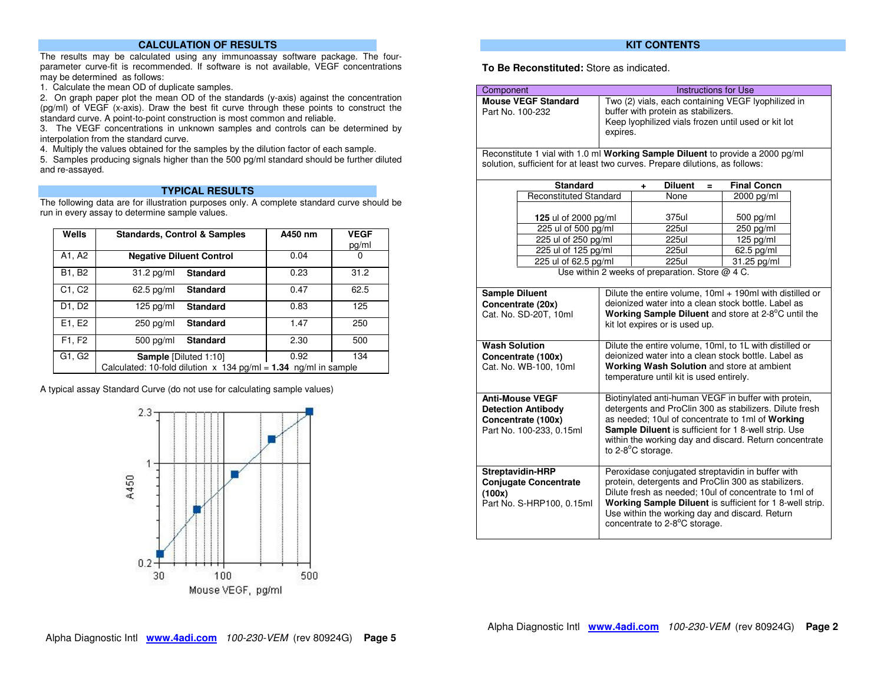## **CALCULATION OF RESULTS**

The results may be calculated using any immunoassay software package. The fourparameter curve-fit is recommended. If software is not available, VEGF concentrations may be determined as follows:

1. Calculate the mean OD of duplicate samples.

2. On graph paper plot the mean OD of the standards (y-axis) against the concentration (pg/ml) of VEGF (x-axis). Draw the best fit curve through these points to construct the standard curve. A point-to-point construction is most common and reliable.

3. The VEGF concentrations in unknown samples and controls can be determined by interpolation from the standard curve.

4. Multiply the values obtained for the samples by the dilution factor of each sample.

5. Samples producing signals higher than the 500 pg/ml standard should be further diluted and re-assayed.

## **TYPICAL RESULTS**

 The following data are for illustration purposes only. A complete standard curve should be run in every assay to determine sample values.

| Wells  | <b>Standards, Control &amp; Samples</b>                           | A450 nm | <b>VEGF</b> |  |
|--------|-------------------------------------------------------------------|---------|-------------|--|
|        |                                                                   |         | pg/ml       |  |
| A1, A2 | <b>Negative Diluent Control</b>                                   | 0.04    | 0           |  |
| B1, B2 | <b>Standard</b><br>$31.2$ pg/ml                                   | 0.23    | 31.2        |  |
| C1, C2 | $62.5$ pg/ml<br><b>Standard</b>                                   | 0.47    | 62.5        |  |
| D1, D2 | $125$ pg/ml<br><b>Standard</b>                                    | 0.83    | 125         |  |
| E1, E2 | <b>Standard</b><br>$250$ pg/ml                                    | 1.47    | 250         |  |
| F1, F2 | $500$ pg/ml<br><b>Standard</b>                                    | 2.30    | 500         |  |
| G1, G2 | <b>Sample [Diluted 1:10]</b>                                      | 0.92    | 134         |  |
|        | Calculated: 10-fold dilution $x$ 134 pg/ml = 1.34 ng/ml in sample |         |             |  |

A typical assay Standard Curve (do not use for calculating sample values)



## **KIT CONTENTS**

## **To Be Reconstituted:** Store as indicated.

| Component             |                                                                                                                                                                                                                                                                                                                                                                                                          |                                                                                                                                                                                                                                                                                                                      |                                                                                                            |   | <b>Instructions for Use</b>                                        |  |
|-----------------------|----------------------------------------------------------------------------------------------------------------------------------------------------------------------------------------------------------------------------------------------------------------------------------------------------------------------------------------------------------------------------------------------------------|----------------------------------------------------------------------------------------------------------------------------------------------------------------------------------------------------------------------------------------------------------------------------------------------------------------------|------------------------------------------------------------------------------------------------------------|---|--------------------------------------------------------------------|--|
| Part No. 100-232      | <b>Mouse VEGF Standard</b>                                                                                                                                                                                                                                                                                                                                                                               | Two (2) vials, each containing VEGF lyophilized in<br>buffer with protein as stabilizers.<br>Keep lyophilized vials frozen until used or kit lot<br>expires.                                                                                                                                                         |                                                                                                            |   |                                                                    |  |
|                       | Reconstitute 1 vial with 1.0 ml Working Sample Diluent to provide a 2000 pg/ml<br>solution, sufficient for at least two curves. Prepare dilutions, as follows:                                                                                                                                                                                                                                           |                                                                                                                                                                                                                                                                                                                      |                                                                                                            |   |                                                                    |  |
|                       | <b>Standard</b>                                                                                                                                                                                                                                                                                                                                                                                          |                                                                                                                                                                                                                                                                                                                      | <b>Diluent</b><br>٠                                                                                        | Ξ | <b>Final Concn</b>                                                 |  |
|                       | <b>Reconstituted Standard</b>                                                                                                                                                                                                                                                                                                                                                                            |                                                                                                                                                                                                                                                                                                                      | None                                                                                                       |   | 2000 pg/ml                                                         |  |
| <b>Sample Diluent</b> | 125 ul of 2000 pg/ml<br>225 ul of 500 pg/ml<br>225 ul of 250 pg/ml<br>225 ul of 125 pg/ml<br>225 ul of 62.5 pg/ml                                                                                                                                                                                                                                                                                        |                                                                                                                                                                                                                                                                                                                      | 375ul<br>225ul<br><b>225ul</b><br>225ul<br><b>225ul</b><br>Use within 2 weeks of preparation. Store @ 4 C. |   | 500 pg/ml<br>250 pg/ml<br>$125$ pg/ml<br>62.5 pg/ml<br>31.25 pg/ml |  |
|                       | Concentrate (20x)<br>Cat. No. SD-20T, 10ml                                                                                                                                                                                                                                                                                                                                                               | Dilute the entire volume, 10ml + 190ml with distilled or<br>deionized water into a clean stock bottle. Label as<br>Working Sample Diluent and store at 2-8°C until the<br>kit lot expires or is used up.                                                                                                             |                                                                                                            |   |                                                                    |  |
| <b>Wash Solution</b>  | Concentrate (100x)<br>Cat. No. WB-100, 10ml                                                                                                                                                                                                                                                                                                                                                              | Dilute the entire volume, 10ml, to 1L with distilled or<br>deionized water into a clean stock bottle. Label as<br>Working Wash Solution and store at ambient<br>temperature until kit is used entirely.                                                                                                              |                                                                                                            |   |                                                                    |  |
|                       | <b>Anti-Mouse VEGF</b><br><b>Detection Antibody</b><br>Concentrate (100x)<br>Part No. 100-233, 0.15ml                                                                                                                                                                                                                                                                                                    | Biotinylated anti-human VEGF in buffer with protein,<br>detergents and ProClin 300 as stabilizers. Dilute fresh<br>as needed; 10ul of concentrate to 1ml of Working<br>Sample Diluent is sufficient for 1 8-well strip. Use<br>within the working day and discard. Return concentrate<br>to $2-8^{\circ}$ C storage. |                                                                                                            |   |                                                                    |  |
| (100x)                | Peroxidase conjugated streptavidin in buffer with<br><b>Streptavidin-HRP</b><br>protein, detergents and ProClin 300 as stabilizers.<br><b>Conjugate Concentrate</b><br>Dilute fresh as needed; 10ul of concentrate to 1ml of<br>Working Sample Diluent is sufficient for 1 8-well strip.<br>Part No. S-HRP100, 0.15ml<br>Use within the working day and discard. Return<br>concentrate to 2-8°C storage. |                                                                                                                                                                                                                                                                                                                      |                                                                                                            |   |                                                                    |  |